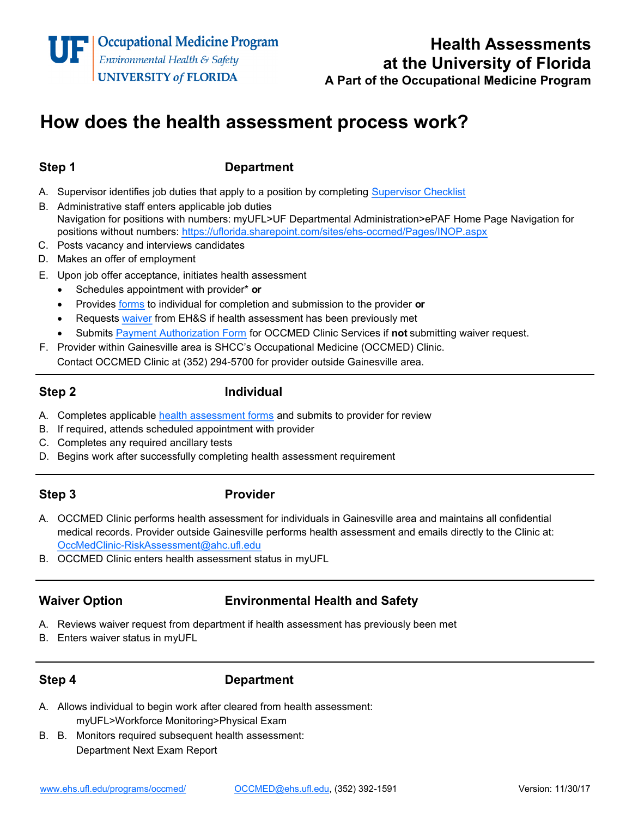# **Health Assessments at the University of Florida**

**A Part of the Occupational Medicine Program**

## **How does the health assessment process work?**

### **Step 1 Department**

- A. Supervisor identifies job duties that apply to a position by completing [Supervisor Checklist](http://webfiles.ehs.ufl.edu/jobduty.pdf)
- B. Administrative staff enters applicable job duties Navigation for positions with numbers: myUFL>UF Departmental Administration>ePAF Home Page Navigation for positions without numbers: <https://uflorida.sharepoint.com/sites/ehs-occmed/Pages/INOP.aspx>
- C. Posts vacancy and interviews candidates
- D. Makes an offer of employment
- E. Upon job offer acceptance, initiates health assessment
	- Schedules appointment with provider\* **or**
	- Provides [forms](http://www.ehs.ufl.edu/programs/occmed/forms/) to individual for completion and submission to the provider **or**
	- Requests [waiver](http://webfiles.ehs.ufl.edu/HAMSWAIV.pdf) from EH&S if health assessment has been previously met
	- Submits [Payment Authorization Form](http://shcc.ufl.edu/files/2017/01/ABO-031.pdf) for OCCMED Clinic Services if **not** submitting waiver request.
- F. Provider within Gainesville area is SHCC's Occupational Medicine (OCCMED) Clinic. Contact OCCMED Clinic at (352) 294-5700 for provider outside Gainesville area.

### **Step 2 Individual**

- A. Completes applicable [health assessment forms](http://www.ehs.ufl.edu/programs/occmed/forms/) and submits to provider for review
- B. If required, attends scheduled appointment with provider
- C. Completes any required ancillary tests
- D. Begins work after successfully completing health assessment requirement

### **Step 3 Provider**

- A. OCCMED Clinic performs health assessment for individuals in Gainesville area and maintains all confidential medical records. Provider outside Gainesville performs health assessment and emails directly to the Clinic at: OccMedClinic-[RiskAssessment@ahc.ufl.edu](mailto:OccMedClinic-RiskAssessment@ahc.ufl.edu)
- B. OCCMED Clinic enters health assessment status in myUFL

### **Waiver Option Environmental Health and Safety**

- A. Reviews waiver request from department if health assessment has previously been met
- B. Enters waiver status in myUFL

#### **Step 4 Department**

- A. Allows individual to begin work after cleared from health assessment: myUFL>Workforce Monitoring>Physical Exam
- B. B. Monitors required subsequent health assessment: Department Next Exam Report